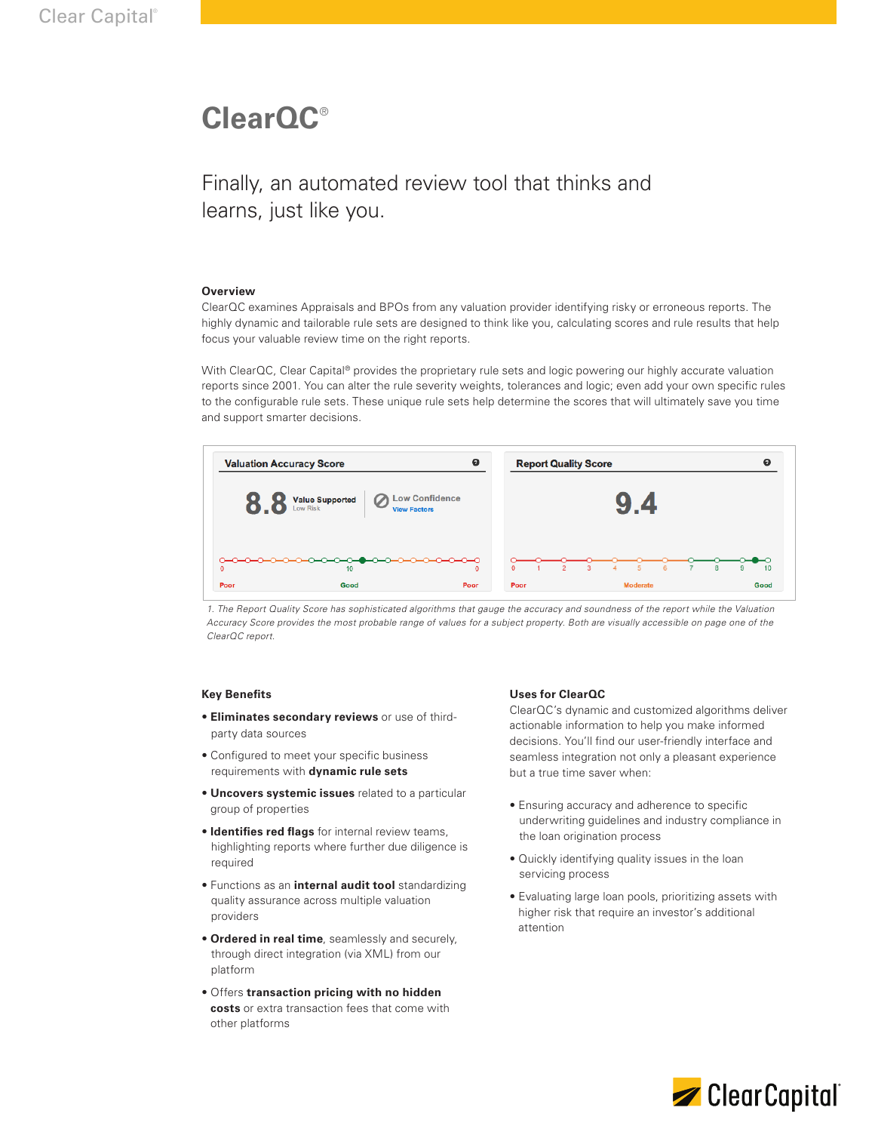# **ClearQC**®

Finally, an automated review tool that thinks and learns, just like you.

## **Overview**

ClearQC examines Appraisals and BPOs from any valuation provider identifying risky or erroneous reports. The highly dynamic and tailorable rule sets are designed to think like you, calculating scores and rule results that help focus your valuable review time on the right reports.

With ClearQC, Clear Capital® provides the proprietary rule sets and logic powering our highly accurate valuation reports since 2001. You can alter the rule severity weights, tolerances and logic; even add your own specific rules to the configurable rule sets. These unique rule sets help determine the scores that will ultimately save you time and support smarter decisions.



*1. The Report Quality Score has sophisticated algorithms that gauge the accuracy and soundness of the report while the Valuation Accuracy Score provides the most probable range of values for a subject property. Both are visually accessible on page one of the ClearQC report.*

#### **Key Benefits**

- **Eliminates secondary reviews** or use of third party data sources
- Configured to meet your specific business requirements with **dynamic rule sets**
- **Uncovers systemic issues** related to a particular group of properties
- **Identifies red flags** for internal review teams, highlighting reports where further due diligence is required
- Functions as an **internal audit tool** standardizing quality assurance across multiple valuation providers
- **Ordered in real time**, seamlessly and securely, through direct integration (via XML) from our platform
- Offers **transaction pricing with no hidden costs** or extra transaction fees that come with other platforms

## **Uses for ClearQC**

ClearQC's dynamic and customized algorithms deliver actionable information to help you make informed decisions. You'll find our user-friendly interface and seamless integration not only a pleasant experience but a true time saver when:

- Ensuring accuracy and adherence to specific underwriting guidelines and industry compliance in the loan origination process
- Quickly identifying quality issues in the loan servicing process
- Evaluating large loan pools, prioritizing assets with higher risk that require an investor's additional attention